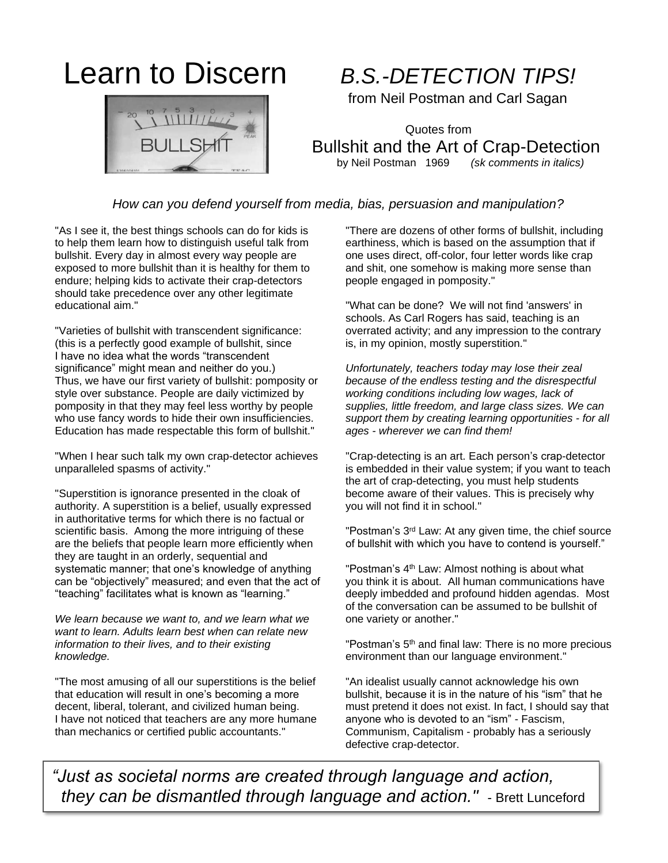# Learn to Discern *B.S.-DETECTION TIPS!*

from Neil Postman and Carl Sagan

 Quotes from Bullshit and the Art of Crap-Detection by Neil Postman 1969 *(sk comments in italics)*

### *How can you defend yourself from media, bias, persuasion and manipulation?*

"As I see it, the best things schools can do for kids is to help them learn how to distinguish useful talk from bullshit. Every day in almost every way people are exposed to more bullshit than it is healthy for them to endure; helping kids to activate their crap-detectors should take precedence over any other legitimate educational aim."

"Varieties of bullshit with transcendent significance: (this is a perfectly good example of bullshit, since I have no idea what the words "transcendent significance" might mean and neither do you.) Thus, we have our first variety of bullshit: pomposity or style over substance. People are daily victimized by pomposity in that they may feel less worthy by people who use fancy words to hide their own insufficiencies. Education has made respectable this form of bullshit."

"When I hear such talk my own crap-detector achieves unparalleled spasms of activity."

"Superstition is ignorance presented in the cloak of authority. A superstition is a belief, usually expressed in authoritative terms for which there is no factual or scientific basis. Among the more intriguing of these are the beliefs that people learn more efficiently when they are taught in an orderly, sequential and systematic manner; that one's knowledge of anything can be "objectively" measured; and even that the act of "teaching" facilitates what is known as "learning."

*We learn because we want to, and we learn what we want to learn. Adults learn best when can relate new information to their lives, and to their existing knowledge.* 

"The most amusing of all our superstitions is the belief that education will result in one's becoming a more decent, liberal, tolerant, and civilized human being. I have not noticed that teachers are any more humane than mechanics or certified public accountants."

"There are dozens of other forms of bullshit, including earthiness, which is based on the assumption that if one uses direct, off-color, four letter words like crap and shit, one somehow is making more sense than people engaged in pomposity."

"What can be done? We will not find 'answers' in schools. As Carl Rogers has said, teaching is an overrated activity; and any impression to the contrary is, in my opinion, mostly superstition."

*Unfortunately, teachers today may lose their zeal because of the endless testing and the disrespectful working conditions including low wages, lack of supplies, little freedom, and large class sizes. We can support them by creating learning opportunities - for all ages - wherever we can find them!* 

"Crap-detecting is an art. Each person's crap-detector is embedded in their value system; if you want to teach the art of crap-detecting, you must help students become aware of their values. This is precisely why you will not find it in school."

"Postman's 3<sup>rd</sup> Law: At any given time, the chief source of bullshit with which you have to contend is yourself."

"Postman's 4<sup>th</sup> Law: Almost nothing is about what you think it is about. All human communications have deeply imbedded and profound hidden agendas. Most of the conversation can be assumed to be bullshit of one variety or another."

"Postman's 5<sup>th</sup> and final law: There is no more precious environment than our language environment."

"An idealist usually cannot acknowledge his own bullshit, because it is in the nature of his "ism" that he must pretend it does not exist. In fact, I should say that anyone who is devoted to an "ism" - Fascism, Communism, Capitalism - probably has a seriously defective crap-detector.

 *they can be dismantled through language and action."* - Brett Lunceford*"Just as societal norms are created through language and action,*